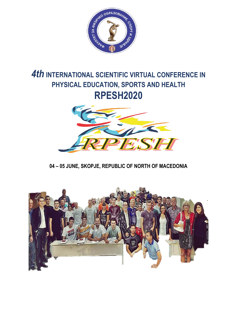

# *4th* **INTERNATIONAL SCIENTIFIC VIRTUAL CONFERENCE IN PHYSICAL EDUCATION, SPORTS AND HEALTH RPESH2020**



# **04 – 05 JUNE, SKOPJE, REPUBLIC OF NORTH OF MACEDONIA**

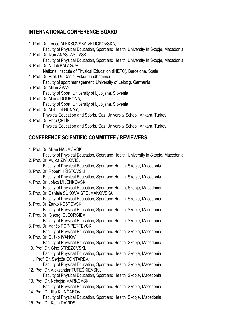# **INTERNATIONAL CONFERENCE BOARD**

|                             |  | 1. Prof. Dr. Lence ALEKSOVSKA VELICKOVSKA,                                                                          |  |  |
|-----------------------------|--|---------------------------------------------------------------------------------------------------------------------|--|--|
|                             |  | Faculty of Physical Education, Sport and Health, University in Skopje, Macedonia<br>2. Prof. Dr. Ivan ANASTASOVSKI, |  |  |
|                             |  | Faculty of Physical Education, Sport and Health, University in Skopje, Macedonia                                    |  |  |
|                             |  | 3. Prof. Dr. Natali BALAGUÈ,<br>National Institute of Physical Education (INEFC), Barcelona, Spain                  |  |  |
|                             |  | 4. Prof. Dr. Prof. Dr. Daniel Eckert Lindhammer,                                                                    |  |  |
|                             |  | Faculty of sport management, University of Leipzig, Germania                                                        |  |  |
|                             |  | 5. Prof. Dr. Milan ŻVAN,                                                                                            |  |  |
|                             |  | Faculty of Sport, University of Ljubljana, Slovenia<br>6. Prof. Dr. Moica DOUPONA,                                  |  |  |
|                             |  | Faculty of Sport, University of Ljubljana, Slovenia                                                                 |  |  |
|                             |  | 7. Prof. Dr. Mehmet GÜNAY,                                                                                          |  |  |
|                             |  | Physical Education and Sports, Gazi University School, Ankara, Turkey<br>8. Prof. Dr. Ebru ÇETİN                    |  |  |
|                             |  | Physical Education and Sports, Gazi University School, Ankara, Turkey                                               |  |  |
|                             |  |                                                                                                                     |  |  |
|                             |  | <b>CONFERENCE SCIENTIFIC COMMITTEE / REVIEWERS</b>                                                                  |  |  |
|                             |  | 1. Prof. Dr. Milan NAUMOVSKI,                                                                                       |  |  |
|                             |  | Faculty of Physical Education, Sport and Health, University in Skopje, Macedonia                                    |  |  |
|                             |  | 2. Prof. Dr. Vujica ŽIVKOVIĆ,                                                                                       |  |  |
|                             |  | Faculty of Physical Education, Sport and Health, Skopje, Macedonia                                                  |  |  |
|                             |  | 3. Prof. Dr. Robert HRISTOVSKI,                                                                                     |  |  |
|                             |  | Faculty of Physical Education, Sport and Health, Skopje, Macedonia<br>4. Prof. Dr. Joško MILENKOVSKI,               |  |  |
|                             |  | Faculty of Physical Education, Sport and Health, Skopje, Macedonia                                                  |  |  |
|                             |  | 5. Prof. Dr. Daniela ŠUKOVA STOJMANOVSKA,                                                                           |  |  |
|                             |  | Faculty of Physical Education, Sport and Health, Skopje, Macedonia                                                  |  |  |
|                             |  | 6. Prof. Dr. Žarko KOSTOVSKI,                                                                                       |  |  |
|                             |  | Faculty of Physical Education, Sport and Health, Skopje, Macedonia<br>7. Prof. Dr. Gjeorgi GJEORGIEV,               |  |  |
|                             |  | Faculty of Physical Education, Sport and Health, Skopje, Macedonia                                                  |  |  |
|                             |  | 8. Prof. Dr. Vančo POP-PERTEVSKI,                                                                                   |  |  |
|                             |  | Faculty of Physical Education, Sport and Health, Skopje, Macedonia                                                  |  |  |
|                             |  | 9. Prof. Dr. Duško IVANOV,                                                                                          |  |  |
|                             |  | Faculty of Physical Education, Sport and Health, Skopje, Macedonia<br>10. Prof. Dr. Gino STREZOVSKI,                |  |  |
|                             |  | Faculty of Physical Education, Sport and Health, Skopje, Macedonia                                                  |  |  |
|                             |  | 11. Prof. Dr. Serjoža GONTAREV,                                                                                     |  |  |
|                             |  | Faculty of Physical Education, Sport and Health, Skopje, Macedonia                                                  |  |  |
|                             |  | 12. Prof. Dr. Aleksandar TUFEČKIEVSKI,                                                                              |  |  |
|                             |  | Faculty of Physical Education, Sport and Health, Skopje, Macedonia<br>13. Prof. Dr. Nebojša MARKOVSKI,              |  |  |
|                             |  | Faculty of Physical Education, Sport and Health, Skopje, Macedonia                                                  |  |  |
|                             |  | 14. Prof. Dr. Ilija KLINČAROV,                                                                                      |  |  |
|                             |  | Faculty of Physical Education, Sport and Health, Skopje, Macedonia                                                  |  |  |
| 15. Prof. Dr. Keith DAVIDS, |  |                                                                                                                     |  |  |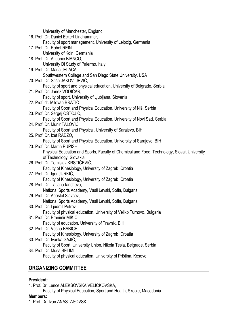University of Manchester, England 16. Prof. Dr. Daniel Eckert Lindhammer, Faculty of sport management, University of Leipzig, Germania 17. Prof. Dr. Robet REIN University of Koln, Germania 18. Prof. Dr. Antionio BIANCO, University Di Study of Palermo, Italy 19. Prof. Dr. Maria JELACA, Southwestern College and San Diego State University, USA 20. Prof. Dr. Saša JAKOVLJEVIĆ, Faculty of sport and physical education, University of Belgrade, Serbia 21. Prof. Dr. Janez VODIČAR, Faculty of sport, University of Ljubljana, Slovenia 22. Prof. dr. Milovan BRATIČ Faculty of Sport and Physical Education, University of Niš, Serbia 23. Prof. Dr. Sergej OSTOJIĆ, Faculty of Sport and Physical Education, University of Novi Sad, Serbia 24. Prof. Dr. Munir TALOVIĆ Faculty of Sport and Physical, University of Sarajevo, BIH 25. Prof. Dr. Izet RADZO, Faculty of Sport and Physical Education, University of Sarajevo, BIH 23. Prof. Dr. Martin PUPISH Physical Education and Sports, Faculty of Chemical and Food, Technology, Slovak University of Technology, Slovakia 26. Prof. Dr. Tomislav KRSTIČEVIĆ, Faculty of Kinesiology, University of Zagreb, Croatia 27. Prof. Dr. Igor JURKIĆ, Faculty of Kinesiology, University of Zagreb, Croatia 28. Prof. Dr. Tatiana Iancheva, National Sports Academy, Vasil Levski, Sofia, Bulgaria 29. Prof. Dr. Apostol Slavcev, National Sports Academy, Vasil Levski, Sofia, Bulgaria 30. Prof. Dr. Ljudmil Petrov Faculty of physical education, University of Veliko Turnovo, Bulgaria 31. Prof. Dr. Branimir MIKIĆ Faculty of education, University of Travnik, BIH 32. Prof. Dr. Vesna BABICH Faculty of Kinesiology, University of Zagreb, Croatia 33. Prof. Dr. Ivanka GAJIĆ, Faculty of Sport, University Union, Nikola Tesla, Belgrade, Serbia 34. Prof. Dr. Musa SELIMI, Faculty of physical education, University of Priština, Kosovo

# **ORGANIZING COMMITTEE**

# **President:**

1. Prof. Dr. Lence ALEKSOVSKA VELICKOVSKA,

Faculty of Physical Education, Sport and Health, Skopje, Macedonia

# **Members:**

1. Prof. Dr. Ivan ANASTASOVSKI,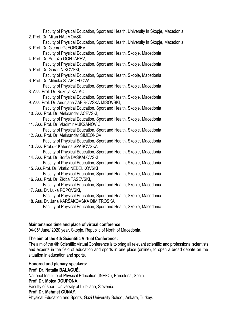Faculty of Physical Education, Sport and Health, University in Skopje, Macedonia 2. Prof. Dr. Milan NAUMOVSKI, Faculty of Physical Education, Sport and Health, University in Skopje, Macedonia 3. Prof. Dr. Gjeorgi GJEORGIEV, Faculty of Physical Education, Sport and Health, Skopje, Macedonia 4. Prof. Dr. Serjoža GONTAREV, Faculty of Physical Education, Sport and Health, Skopje, Macedonia 5. Prof. Dr. Goran NIKOVSKI, Faculty of Physical Education, Sport and Health, Skopje, Macedonia 6. Prof. Dr. Mitrička STARDELOVA, Faculty of Physical Education, Sport and Health, Skopje, Macedonia 8. Ass. Prof. Dr. Ruzdija KALAČ Faculty of Physical Education, Sport and Health, Skopje, Macedonia 9. Ass. Prof. Dr. Andrijana ZAFIROVSKA MISOVSKI, Faculty of Physical Education, Sport and Health, Skopje, Macedonia 10. Ass. Prof. Dr. Aleksandar ACEVSKI, Faculty of Physical Education, Sport and Health, Skopje, Macedonia 11. Ass. Prof. Dr. Vladimir VUKSANOVIČ Faculty of Physical Education, Sport and Health, Skopje, Macedonia 12. Ass. Prof. Dr. Aleksandar SIMEONOV Faculty of Physical Education, Sport and Health, Skopje, Macedonia 13. Ass. Prof.d-r Katerina SPASOVSKA Faculty of Physical Education, Sport and Health, Skopje, Macedonia 14. Ass. Prof. Dr. Borče DASKALOVSKI Faculty of Physical Education, Sport and Health, Skopje, Macedonia 15. Ass.Prof. Dr. Vlatko NEDELKOVSKI Faculty of Physical Education, Sport and Health, Skopje, Macedonia 16. Ass. Prof. Dr. Žikica TASEVSKI, Faculty of Physical Education, Sport and Health, Skopje, Macedonia 17. Ass. Dr. Luka POPOVSKI, Faculty of Physical Education, Sport and Health, Skopje, Macedonia 18. Ass. Dr. Jana KARŠAKOVSKA DIMITROSKA Faculty of Physical Education, Sport and Health, Skopje, Macedonia

# **Maintenance time and place of virtual conference:**

04-05/ June/ 2020 year, Skopje, Republic of North of Macedonia.

# **The aim of the 4th Scientific Virtual Conference:**

The aim of the 4th Scientific Virtual Conference is to bring all relevant scientific and professional scientists and experts in the field of education and sports in one place (online), to open a broad debate on the situation in education and sports.

# **Honored and plenary speakers:**

**Prof. Dr. Natalia BALAGUÉ,**

[National Institute of Physical Education \(INEFC\),](https://www.researchgate.net/institution/National_Institute_of_Physical_Education_INEFC) Barcelona, Spain.

# **Prof. Dr. Mojca DOUPONA,**

Faculty of sport, University of Ljubljana, Slovenia.

# **Prof. Dr. Mehmet GÜNAY,**

Physical Education and Sports, Gazi University School, Ankara, Turkey.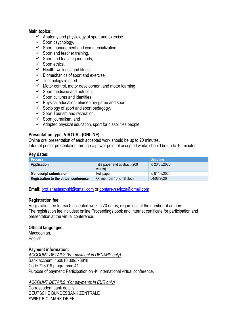# **Main topics:**

- $\checkmark$  Anatomy and physiology of sport and exercise
- $\checkmark$  Sport psychology,
- $\checkmark$  Sport management and commercialization,
- $\checkmark$  Sport and teacher training,
- $\checkmark$  Sport and teaching methods,
- $\checkmark$  Sport ethics,
- $\checkmark$  Health, wellness and fitness
- $\checkmark$  Biomechanics of sport and exercise
- $\checkmark$  Technology in sport
- $\checkmark$  Motor control, motor development and motor learning
- $\checkmark$  Sport medicine and nutrition,
- $\checkmark$  Sport cultures and identities
- $\checkmark$  Physical education, elementary game and sport,
- $\checkmark$  Sociology of sport and sport pedagogy,
- $\checkmark$  Sport Tourism and recreation,
- $\checkmark$  Sport journalism, and
- $\checkmark$  Adapted physical education, sport for disabilities people.

# **Presentation type: VIRTUAL (ONLINE)**

Online oral presentation of each accepted work should be up to 20 minutes. Internet poster presentation through a power point of accepted works should be up to 10 minutes.

# **Key dates:**

| <b>Process</b>                         | <b>Deadline</b>                         |               |  |
|----------------------------------------|-----------------------------------------|---------------|--|
| <b>Application</b>                     | Title paper and abstract (200<br>words) | to 20/05/2020 |  |
| <b>Manuscript submission</b>           | Full paper                              | to 01/06/2020 |  |
| Registration to the virtual conference | Online from 10 to 18 clock              | 04/06/2020    |  |

**Email:** [prof.anastasovski@gmail.com](mailto:prof.anastasovski@gmail.com) or [gontarevserjoza@gmail.com](mailto:gontarevserjoza@gmail.com)

# **Registration fee**:

Registration fee for each accepted work is 70 euros, regardless of the number of authors. The registration fee includes: online Proceedings book and internet certificate for participation and presentation at the virtual conference.

# **Official languages:**

Macedonian, English.

# **Payment information:**

*ACCOUNT DETAILS (For payment in DENARS only)* Bank account: 160010 309378818 Code 723019 programme 41 Purpose of payment: Participation on 4<sup>th</sup> international virtual conference.

# *ACCOUNT DETAILS (For payments in EUR only)*

Correspodent bank details: DEUTSCHE BUNDESBANK ZENTRALE SWIFT BIC: MARK DE FF